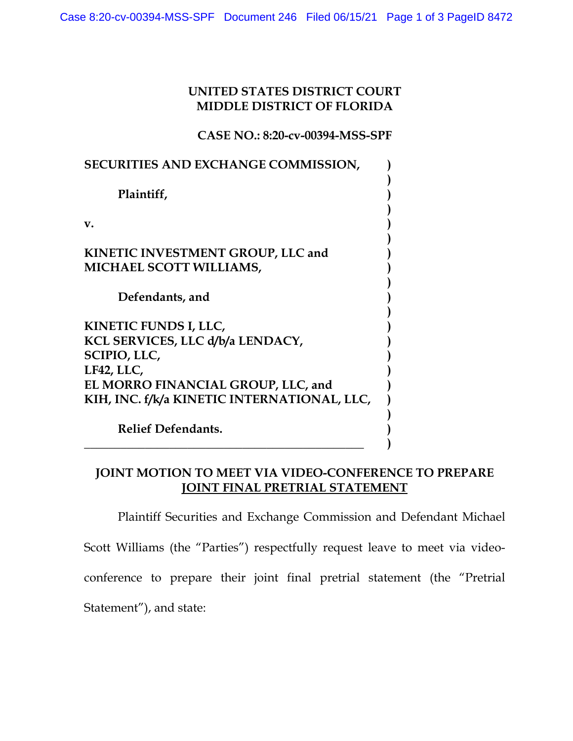## **UNITED STATES DISTRICT COURT MIDDLE DISTRICT OF FLORIDA**

**CASE NO.: 8:20-cv-00394-MSS-SPF** 

| <b>SECURITIES AND EXCHANGE COMMISSION,</b>                                                                                                                                          |  |
|-------------------------------------------------------------------------------------------------------------------------------------------------------------------------------------|--|
| Plaintiff,                                                                                                                                                                          |  |
| v.                                                                                                                                                                                  |  |
| KINETIC INVESTMENT GROUP, LLC and<br><b>MICHAEL SCOTT WILLIAMS,</b>                                                                                                                 |  |
| Defendants, and                                                                                                                                                                     |  |
| KINETIC FUNDS I, LLC,<br>KCL SERVICES, LLC d/b/a LENDACY,<br><b>SCIPIO, LLC,</b><br>LF42, LLC,<br>EL MORRO FINANCIAL GROUP, LLC, and<br>KIH, INC. f/k/a KINETIC INTERNATIONAL, LLC, |  |
| <b>Relief Defendants.</b>                                                                                                                                                           |  |

## **JOINT MOTION TO MEET VIA VIDEO-CONFERENCE TO PREPARE JOINT FINAL PRETRIAL STATEMENT**

Plaintiff Securities and Exchange Commission and Defendant Michael Scott Williams (the "Parties") respectfully request leave to meet via videoconference to prepare their joint final pretrial statement (the "Pretrial Statement"), and state: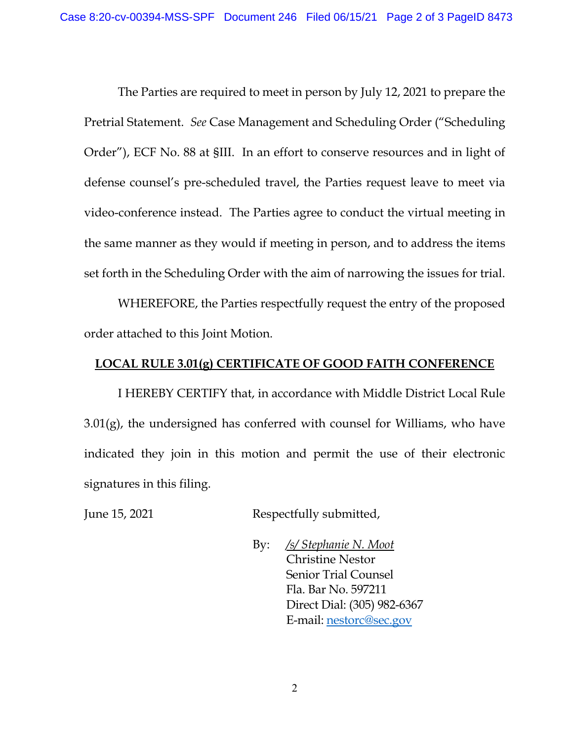The Parties are required to meet in person by July 12, 2021 to prepare the Pretrial Statement. *See* Case Management and Scheduling Order ("Scheduling Order"), ECF No. 88 at §III. In an effort to conserve resources and in light of defense counsel's pre-scheduled travel, the Parties request leave to meet via video-conference instead. The Parties agree to conduct the virtual meeting in the same manner as they would if meeting in person, and to address the items set forth in the Scheduling Order with the aim of narrowing the issues for trial.

WHEREFORE, the Parties respectfully request the entry of the proposed order attached to this Joint Motion.

## **LOCAL RULE 3.01(g) CERTIFICATE OF GOOD FAITH CONFERENCE**

I HEREBY CERTIFY that, in accordance with Middle District Local Rule  $3.01(g)$ , the undersigned has conferred with counsel for Williams, who have indicated they join in this motion and permit the use of their electronic signatures in this filing.

June 15, 2021 Respectfully submitted,

By: */s/ Stephanie N. Moot* Christine Nestor Senior Trial Counsel Fla. Bar No. 597211 Direct Dial: (305) 982-6367 E-mail: nestorc@sec.gov

2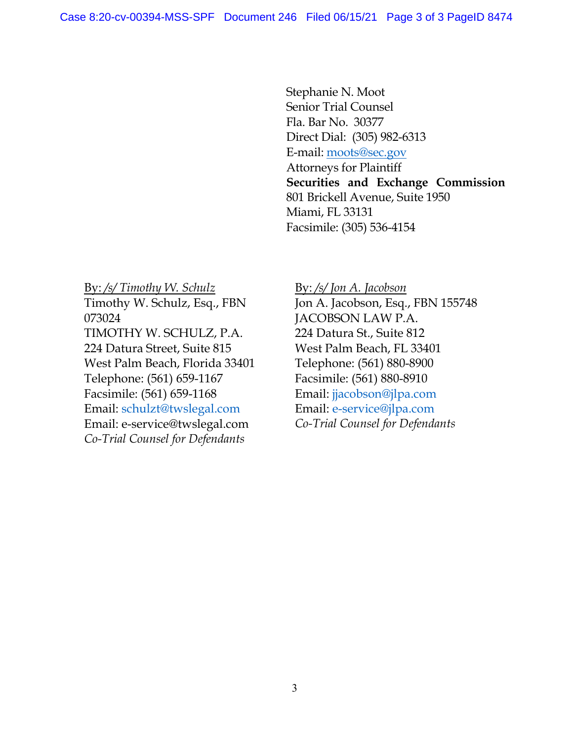Stephanie N. Moot Senior Trial Counsel Fla. Bar No. 30377 Direct Dial: (305) 982-6313 E-mail: moots@sec.gov Attorneys for Plaintiff **Securities and Exchange Commission** 801 Brickell Avenue, Suite 1950 Miami, FL 33131 Facsimile: (305) 536-4154

By: */s/ Timothy W. Schulz* Timothy W. Schulz, Esq., FBN 073024 TIMOTHY W. SCHULZ, P.A. 224 Datura Street, Suite 815 West Palm Beach, Florida 33401 Telephone: (561) 659-1167 Facsimile: (561) 659-1168 Email: schulzt@twslegal.com Email: e-service@twslegal.com *Co-Trial Counsel for Defendants* 

By: */s/ Jon A. Jacobson* Jon A. Jacobson, Esq., FBN 155748 JACOBSON LAW P.A. 224 Datura St., Suite 812 West Palm Beach, FL 33401 Telephone: (561) 880-8900 Facsimile: (561) 880-8910 Email: jjacobson@jlpa.com Email: e-service@jlpa.com *Co-Trial Counsel for Defendants*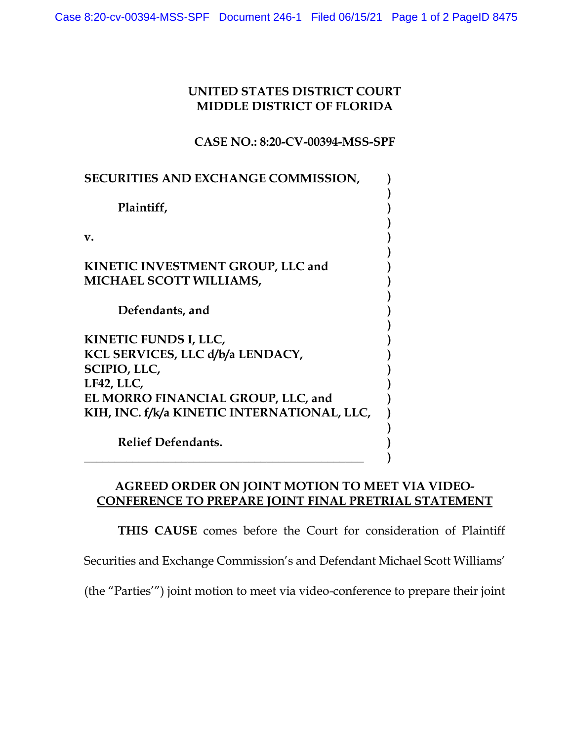## **UNITED STATES DISTRICT COURT MIDDLE DISTRICT OF FLORIDA**

**CASE NO.: 8:20-CV-00394-MSS-SPF** 

| <b>SECURITIES AND EXCHANGE COMMISSION,</b>                                                                                                                                          |  |
|-------------------------------------------------------------------------------------------------------------------------------------------------------------------------------------|--|
| Plaintiff,                                                                                                                                                                          |  |
| v.                                                                                                                                                                                  |  |
| <b>KINETIC INVESTMENT GROUP, LLC and</b><br><b>MICHAEL SCOTT WILLIAMS,</b>                                                                                                          |  |
| Defendants, and                                                                                                                                                                     |  |
| KINETIC FUNDS I, LLC,<br>KCL SERVICES, LLC d/b/a LENDACY,<br><b>SCIPIO, LLC,</b><br>LF42, LLC,<br>EL MORRO FINANCIAL GROUP, LLC, and<br>KIH, INC. f/k/a KINETIC INTERNATIONAL, LLC, |  |
| <b>Relief Defendants.</b>                                                                                                                                                           |  |

# **AGREED ORDER ON JOINT MOTION TO MEET VIA VIDEO-CONFERENCE TO PREPARE JOINT FINAL PRETRIAL STATEMENT**

**THIS CAUSE** comes before the Court for consideration of Plaintiff

Securities and Exchange Commission's and Defendant Michael Scott Williams'

(the "Parties'") joint motion to meet via video-conference to prepare their joint